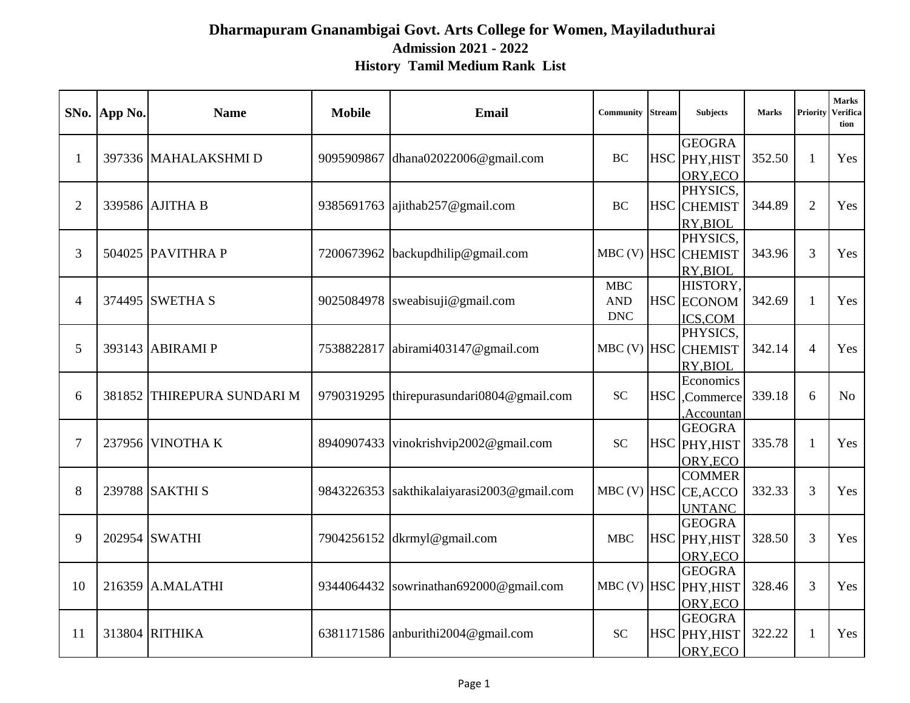### **Dharmapuram Gnanambigai Govt. Arts College for Women, Mayiladuthurai Admission 2021 - 2022 History Tamil Medium Rank List**

|                | SNo. App No. | <b>Name</b>                | <b>Mobile</b> | <b>Email</b>                    | <b>Community Stream</b>   |            | <b>Subjects</b>      | <b>Marks</b> | Priority       | Marks<br>Verifica<br>tion |
|----------------|--------------|----------------------------|---------------|---------------------------------|---------------------------|------------|----------------------|--------------|----------------|---------------------------|
|                |              |                            |               |                                 |                           |            | <b>GEOGRA</b>        |              |                |                           |
| $\mathbf{1}$   |              | 397336 MAHALAKSHMI D       | 9095909867    | dhana02022006@gmail.com         | <b>BC</b>                 |            | HSC PHY, HIST        | 352.50       | $\mathbf{1}$   | Yes                       |
|                |              |                            |               |                                 |                           |            | ORY, ECO             |              |                |                           |
|                |              |                            |               |                                 |                           |            | PHYSICS.             |              |                |                           |
| $\overline{2}$ |              | 339586 AJITHA B            | 9385691763    | ajithab257@gmail.com            | <b>BC</b>                 |            | <b>HSC</b> CHEMIST   | 344.89       | $\overline{2}$ | Yes                       |
|                |              |                            |               |                                 |                           |            | RY, BIOL             |              |                |                           |
|                |              |                            |               |                                 |                           |            | PHYSICS.             |              |                |                           |
| 3              |              | 504025 PAVITHRA P          | 7200673962    | backupdhilip@gmail.com          | $MBC$ (V) $HSC$           |            | <b>CHEMIST</b>       | 343.96       | 3              | Yes                       |
|                |              |                            |               |                                 |                           |            | RY, BIOL<br>HISTORY, |              |                |                           |
| 4              |              | 374495 SWETHA S            | 9025084978    | sweabisuji@gmail.com            | MBC<br><b>AND</b>         |            | HSC ECONOM           | 342.69       | 1              | Yes                       |
|                |              |                            |               |                                 | $\ensuremath{\text{DNC}}$ |            |                      |              |                |                           |
|                |              |                            |               |                                 |                           |            | ICS,COM<br>PHYSICS.  |              |                |                           |
| 5              |              | 393143 ABIRAMI P           | 7538822817    | abirami403147@gmail.com         | $MBC$ (V) $HSC$           |            | <b>CHEMIST</b>       | 342.14       | $\overline{4}$ | Yes                       |
|                |              |                            |               |                                 |                           |            | RY, BIOL             |              |                |                           |
|                |              |                            |               |                                 |                           |            | Economics            |              |                |                           |
| 6              |              | 381852 THIREPURA SUNDARI M | 9790319295    | thirepurasundari0804@gmail.com  | <b>SC</b>                 | <b>HSC</b> | ,Commerce            | 339.18       | 6              | N <sub>o</sub>            |
|                |              |                            |               |                                 |                           |            | Accountan,           |              |                |                           |
|                |              |                            |               |                                 |                           |            | <b>GEOGRA</b>        |              |                |                           |
| $\overline{7}$ |              | 237956 VINOTHA K           | 8940907433    | vinokrishvip2002@gmail.com      | SC                        |            | HSC PHY, HIST        | 335.78       | 1              | Yes                       |
|                |              |                            |               |                                 |                           |            | ORY, ECO             |              |                |                           |
|                |              |                            |               |                                 |                           |            | <b>COMMER</b>        |              |                |                           |
| 8              |              | 239788 SAKTHI S            | 9843226353    | sakthikalaiyarasi2003@gmail.com | $MBC$ (V) $HSC$           |            | CE, ACCO             | 332.33       | 3              | Yes                       |
|                |              |                            |               |                                 |                           |            | <b>UNTANC</b>        |              |                |                           |
|                |              |                            |               |                                 |                           |            | <b>GEOGRA</b>        |              |                |                           |
| 9              |              | 202954 SWATHI              | 7904256152    | dkrmyl@gmail.com                | <b>MBC</b>                |            | HSC PHY, HIST        | 328.50       | 3              | Yes                       |
|                |              |                            |               |                                 |                           |            | ORY, ECO             |              |                |                           |
|                |              |                            |               |                                 |                           |            | <b>GEOGRA</b>        |              |                |                           |
| 10             |              | 216359 A.MALATHI           | 9344064432    | sowrinathan692000@gmail.com     | $MBC$ (V) $HSC$           |            | PHY, HIST            | 328.46       | 3              | Yes                       |
|                |              |                            |               |                                 |                           |            | ORY, ECO             |              |                |                           |
| 11             |              | 313804 RITHIKA             | 6381171586    | anburithi $2004@$ gmail.com     | <b>SC</b>                 |            | <b>GEOGRA</b>        | 322.22       | 1              | Yes                       |
|                |              |                            |               |                                 |                           |            | HSC PHY, HIST        |              |                |                           |
|                |              |                            |               |                                 |                           |            | ORY, ECO             |              |                |                           |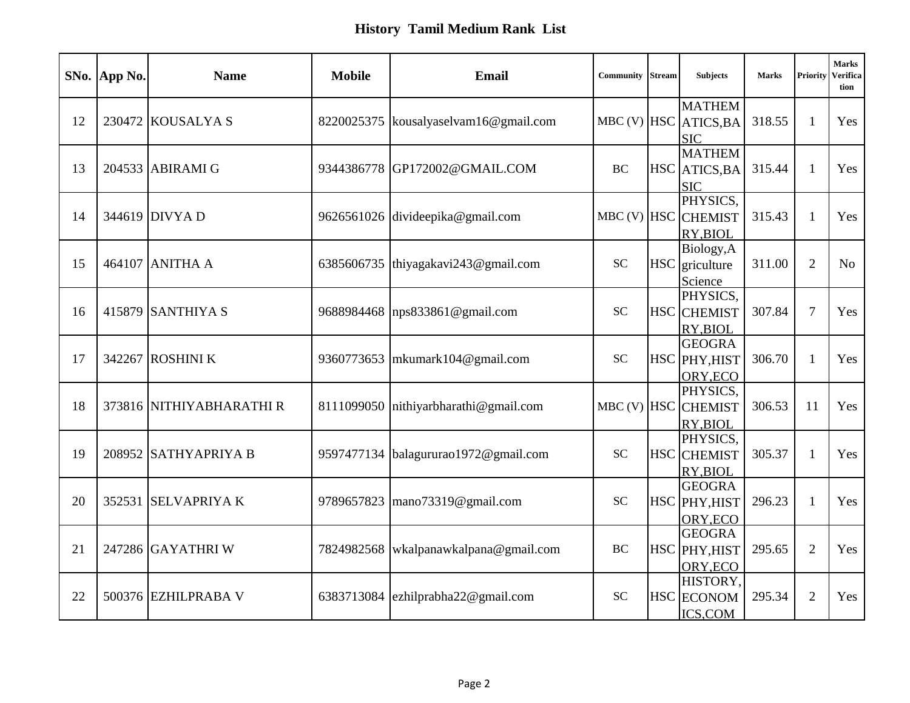|    | SNo. App No. | <b>Name</b>              | <b>Mobile</b> | <b>Email</b>                         | Community   | <b>Stream</b> | <b>Subjects</b>                                      | <b>Marks</b> | Priority       | <b>Marks</b><br>Verifica<br>tion |
|----|--------------|--------------------------|---------------|--------------------------------------|-------------|---------------|------------------------------------------------------|--------------|----------------|----------------------------------|
| 12 |              | 230472 KOUSALYA S        | 8220025375    | kousalyaselvam16@gmail.com           |             |               | <b>MATHEM</b><br>MBC (V) HSC ATICS, BA<br><b>SIC</b> | 318.55       | $\mathbf{1}$   | Yes                              |
| 13 |              | 204533 ABIRAMI G         | 9344386778    | GP172002@GMAIL.COM                   | <b>BC</b>   |               | <b>MATHEM</b><br>HSC ATICS, BA<br><b>SIC</b>         | 315.44       | 1              | Yes                              |
| 14 |              | 344619 DIVYA D           |               | 9626561026 divideepika@gmail.com     |             |               | PHYSICS,<br>MBC (V) HSC CHEMIST<br>RY, BIOL          | 315.43       | 1              | Yes                              |
| 15 |              | 464107 ANITHA A          | 6385606735    | thiyagakavi243@gmail.com             | <b>SC</b>   |               | Biology, A<br>HSC griculture<br>Science              | 311.00       | 2              | N <sub>o</sub>                   |
| 16 |              | 415879 SANTHIYA S        |               | 9688984468  nps833861@gmail.com      | <b>SC</b>   |               | PHYSICS,<br><b>HSC</b> CHEMIST<br>RY, BIOL           | 307.84       | $\overline{7}$ | Yes                              |
| 17 |              | 342267 ROSHINI K         | 9360773653    | mkumark104@gmail.com                 | <b>SC</b>   |               | <b>GEOGRA</b><br>HSC PHY, HIST<br>ORY, ECO           | 306.70       | 1              | Yes                              |
| 18 |              | 373816 NITHIYABHARATHI R | 8111099050    | nithiyarbharathi@gmail.com           | MBC (V) HSC |               | PHYSICS,<br><b>CHEMIST</b><br>RY, BIOL               | 306.53       | 11             | Yes                              |
| 19 |              | 208952 SATHYAPRIYA B     |               | 9597477134 balagururao1972@gmail.com | <b>SC</b>   |               | PHYSICS.<br><b>HSC</b> CHEMIST<br>RY, BIOL           | 305.37       | 1              | Yes                              |
| 20 |              | 352531 SELVAPRIYA K      | 9789657823    | mano73319@gmail.com                  | <b>SC</b>   |               | <b>GEOGRA</b><br>HSC PHY, HIST<br>ORY, ECO           | 296.23       | $\mathbf{1}$   | Yes                              |
| 21 |              | 247286 GAYATHRI W        | 7824982568    | wkalpanawkalpana@gmail.com           | <b>BC</b>   |               | <b>GEOGRA</b><br>HSC PHY, HIST<br>ORY, ECO           | 295.65       | 2              | Yes                              |
| 22 |              | 500376 EZHILPRABA V      | 6383713084    | ezhilprabha22@gmail.com              | <b>SC</b>   |               | HISTORY,<br><b>HSC</b> ECONOM<br>ICS,COM             | 295.34       | $\overline{2}$ | Yes                              |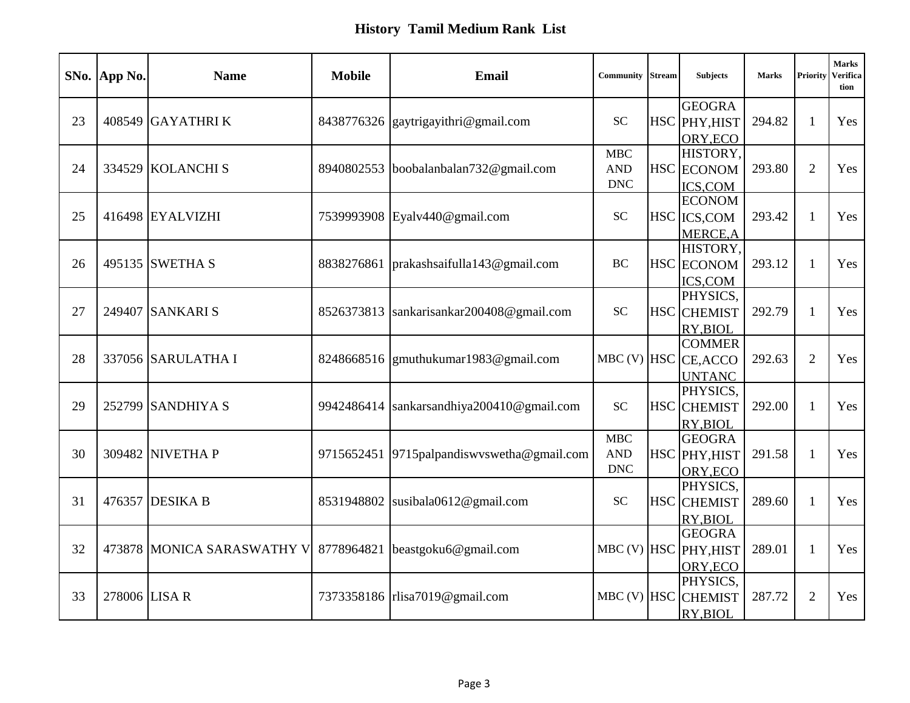|    | SNo. App No.  | <b>Name</b>                | <b>Mobile</b> | <b>Email</b>                     | Community         | <b>Stream</b> | <b>Subjects</b>          | <b>Marks</b> | Priority       | <b>Marks</b><br>Verifica<br>tion |
|----|---------------|----------------------------|---------------|----------------------------------|-------------------|---------------|--------------------------|--------------|----------------|----------------------------------|
|    |               |                            |               |                                  |                   |               | <b>GEOGRA</b>            |              |                |                                  |
| 23 |               | 408549 GAYATHRI K          | 8438776326    | gaytrigayithri@gmail.com         | <b>SC</b>         |               | HSC PHY, HIST            | 294.82       | $\mathbf{1}$   | Yes                              |
|    |               |                            |               |                                  |                   |               | ORY, ECO                 |              |                |                                  |
| 24 |               |                            |               |                                  | MBC<br><b>AND</b> |               | HISTORY,                 |              |                |                                  |
|    |               | 334529 KOLANCHI S          | 8940802553    | boobalanbalan732@gmail.com       | <b>DNC</b>        |               | HSC ECONOM               | 293.80       | 2              | Yes                              |
|    |               |                            |               |                                  |                   |               | ICS,COM<br><b>ECONOM</b> |              |                |                                  |
| 25 |               | 416498 EYALVIZHI           |               | 7539993908 Eyalv440@gmail.com    | <b>SC</b>         |               | HSC ICS, COM             | 293.42       | $\mathbf{1}$   | Yes                              |
|    |               |                            |               |                                  |                   |               | <b>MERCE, A</b>          |              |                |                                  |
|    |               |                            |               |                                  |                   |               | HISTORY,                 |              |                |                                  |
| 26 |               | 495135 SWETHA S            | 8838276861    | prakashsaifulla143@gmail.com     | <b>BC</b>         |               | HSC ECONOM               | 293.12       | 1              | Yes                              |
|    |               |                            |               |                                  |                   |               | ICS,COM                  |              |                |                                  |
|    |               |                            |               |                                  |                   |               | PHYSICS,                 |              |                |                                  |
| 27 |               | 249407 SANKARI S           | 8526373813    | sankarisankar200408@gmail.com    | <b>SC</b>         |               | <b>HSC</b> CHEMIST       | 292.79       | $\mathbf{1}$   | Yes                              |
|    |               |                            |               |                                  |                   |               | RY, BIOL                 |              |                |                                  |
|    |               |                            |               |                                  |                   |               | <b>COMMER</b>            |              |                |                                  |
| 28 |               | 337056 SARULATHA I         | 8248668516    | $g$ muthukumar1983@gmail.com     |                   |               | MBC (V) HSC CE, ACCO     | 292.63       | $\overline{2}$ | Yes                              |
|    |               |                            |               |                                  |                   |               | <b>UNTANC</b>            |              |                |                                  |
|    |               |                            |               |                                  |                   |               | PHYSICS,                 |              |                |                                  |
| 29 |               | 252799 SANDHIYA S          | 9942486414    | sankarsandhiya200410@gmail.com   | <b>SC</b>         |               | <b>HSC</b> CHEMIST       | 292.00       | 1              | Yes                              |
|    |               |                            |               |                                  |                   |               | RY, BIOL                 |              |                |                                  |
|    |               |                            |               |                                  | <b>MBC</b>        |               | <b>GEOGRA</b>            |              |                |                                  |
| 30 |               | 309482 NIVETHA P           | 9715652451    | 9715 palpandiswyswetha@gmail.com | <b>AND</b>        |               | HSC PHY, HIST            | 291.58       | $\mathbf{1}$   | Yes                              |
|    |               |                            |               |                                  | <b>DNC</b>        |               | ORY, ECO                 |              |                |                                  |
|    |               |                            |               |                                  |                   |               | PHYSICS,                 |              |                |                                  |
| 31 |               | 476357 DESIKA B            | 8531948802    | susibala0612@gmail.com           | <b>SC</b>         |               | <b>HSC</b> CHEMIST       | 289.60       | $\mathbf{1}$   | Yes                              |
|    |               |                            |               |                                  |                   |               | RY, BIOL                 |              |                |                                  |
|    |               |                            |               |                                  |                   |               | <b>GEOGRA</b>            |              |                |                                  |
| 32 |               | 473878 MONICA SARASWATHY V | 8778964821    | beastgoku6@gmail.com             |                   |               | MBC (V) HSC PHY, HIST    | 289.01       | $\mathbf{1}$   | Yes                              |
|    |               |                            |               |                                  |                   |               | ORY, ECO                 |              |                |                                  |
|    |               |                            |               |                                  |                   |               | PHYSICS,                 |              |                |                                  |
| 33 | 278006 LISA R |                            |               | 7373358186   rlisa7019@gmail.com | $MBC$ (V) $HSC$   |               | <b>CHEMIST</b>           | 287.72       | $\overline{2}$ | Yes                              |
|    |               |                            |               |                                  |                   |               | RY, BIOL                 |              |                |                                  |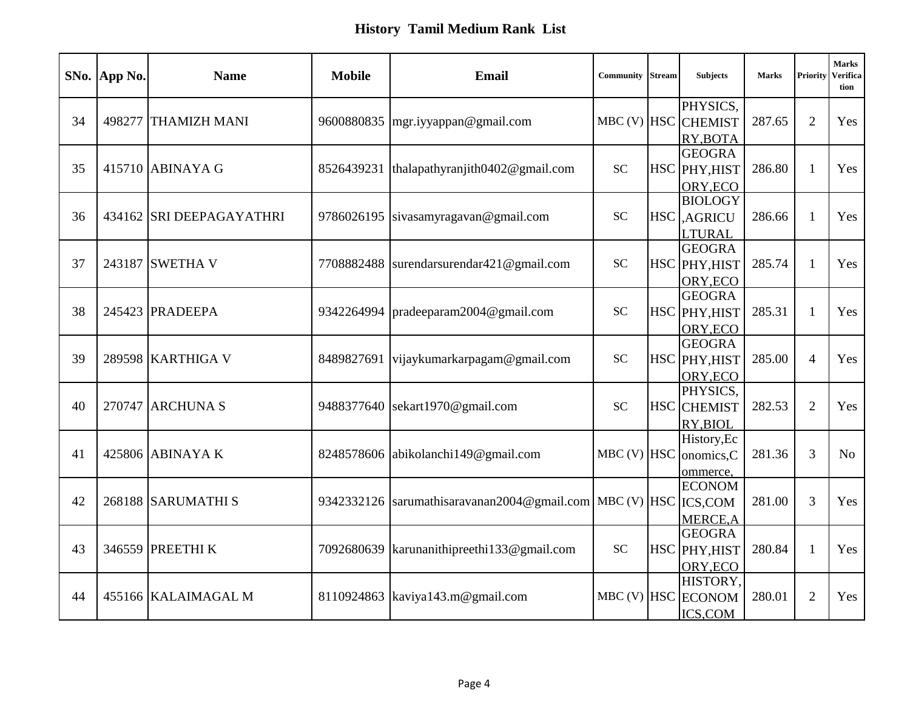|    | SNo. App No. | <b>Name</b>              | <b>Mobile</b> | <b>Email</b>                                               | <b>Community Stream</b> | <b>Subjects</b>                | <b>Marks</b> | Priority       | <b>Marks</b><br>Verifica<br>tion |
|----|--------------|--------------------------|---------------|------------------------------------------------------------|-------------------------|--------------------------------|--------------|----------------|----------------------------------|
|    |              |                          |               |                                                            |                         | PHYSICS,                       |              |                |                                  |
| 34 |              | 498277 THAMIZH MANI      | 9600880835    | mgr.iyyappan@gmail.com                                     | $MBC$ (V) $HSC$         | <b>CHEMIST</b>                 | 287.65       | 2              | Yes                              |
|    |              |                          |               |                                                            |                         | RY, BOTA                       |              |                |                                  |
| 35 |              | 415710 ABINAYA G         | 8526439231    | thalapathyranjith0402@gmail.com                            | <b>SC</b>               | <b>GEOGRA</b><br>HSC PHY, HIST | 286.80       | 1              | Yes                              |
|    |              |                          |               |                                                            |                         |                                |              |                |                                  |
|    |              |                          |               |                                                            |                         | ORY, ECO<br><b>BIOLOGY</b>     |              |                |                                  |
| 36 |              | 434162 SRI DEEPAGAYATHRI | 9786026195    | sivasamyragavan@gmail.com                                  | <b>SC</b>               | <b>HSC</b> AGRICU              | 286.66       | $\mathbf{1}$   | Yes                              |
|    |              |                          |               |                                                            |                         | <b>LTURAL</b>                  |              |                |                                  |
|    |              |                          |               |                                                            |                         | <b>GEOGRA</b>                  |              |                |                                  |
| 37 |              | 243187 SWETHA V          | 7708882488    | surendarsurendar421@gmail.com                              | <b>SC</b>               | HSC PHY, HIST                  | 285.74       | 1              | Yes                              |
|    |              |                          |               |                                                            |                         | ORY, ECO                       |              |                |                                  |
|    |              |                          |               |                                                            |                         | <b>GEOGRA</b>                  |              |                |                                  |
| 38 |              | 245423 PRADEEPA          | 9342264994    | pradeeparam2004@gmail.com                                  | <b>SC</b>               | HSC PHY, HIST                  | 285.31       | $\mathbf{1}$   | Yes                              |
|    |              |                          |               |                                                            |                         | ORY, ECO                       |              |                |                                  |
|    |              |                          |               |                                                            |                         | <b>GEOGRA</b>                  |              |                |                                  |
| 39 |              | 289598 KARTHIGA V        | 8489827691    | vijaykumarkarpagam@gmail.com                               | <b>SC</b>               | HSC PHY, HIST                  | 285.00       | $\overline{4}$ | Yes                              |
|    |              |                          |               |                                                            |                         | ORY, ECO                       |              |                |                                  |
|    |              |                          |               |                                                            |                         | PHYSICS,                       |              |                |                                  |
| 40 |              | 270747 ARCHUNA S         | 9488377640    | sekart1970@gmail.com                                       | <b>SC</b>               | <b>HSC</b> CHEMIST             | 282.53       | $\overline{2}$ | Yes                              |
|    |              |                          |               |                                                            |                         | RY, BIOL                       |              |                |                                  |
|    |              |                          |               |                                                            |                         | History, Ec                    |              |                |                                  |
| 41 |              | 425806 ABINAYA K         | 8248578606    | abikolanchi149@gmail.com                                   | $MBC$ (V) $HSC$         | onomics,C                      | 281.36       | $\overline{3}$ | N <sub>o</sub>                   |
|    |              |                          |               |                                                            |                         | ommerce,                       |              |                |                                  |
|    |              |                          |               |                                                            |                         | <b>ECONOM</b>                  |              |                |                                  |
| 42 |              | 268188 SARUMATHI S       | 9342332126    | sarumathisaravanan2004@gmail.com   MBC (V)   HSC   ICS,COM |                         |                                | 281.00       | 3              | Yes                              |
|    |              |                          |               |                                                            |                         | <b>MERCE, A</b>                |              |                |                                  |
|    |              |                          |               |                                                            |                         | <b>GEOGRA</b>                  |              |                |                                  |
| 43 |              | 346559 PREETHI K         | 7092680639    | karunanithipreethi133@gmail.com                            | <b>SC</b>               | HSC PHY, HIST                  | 280.84       | $\mathbf{1}$   | Yes                              |
|    |              |                          |               |                                                            |                         | ORY, ECO<br>HISTORY.           |              |                |                                  |
| 44 |              | 455166 KALAIMAGAL M      | 8110924863    | kaviya143.m@gmail.com                                      |                         | MBC (V) HSC ECONOM             | 280.01       | $\overline{2}$ | Yes                              |
|    |              |                          |               |                                                            |                         |                                |              |                |                                  |
|    |              |                          |               |                                                            |                         | ICS, COM                       |              |                |                                  |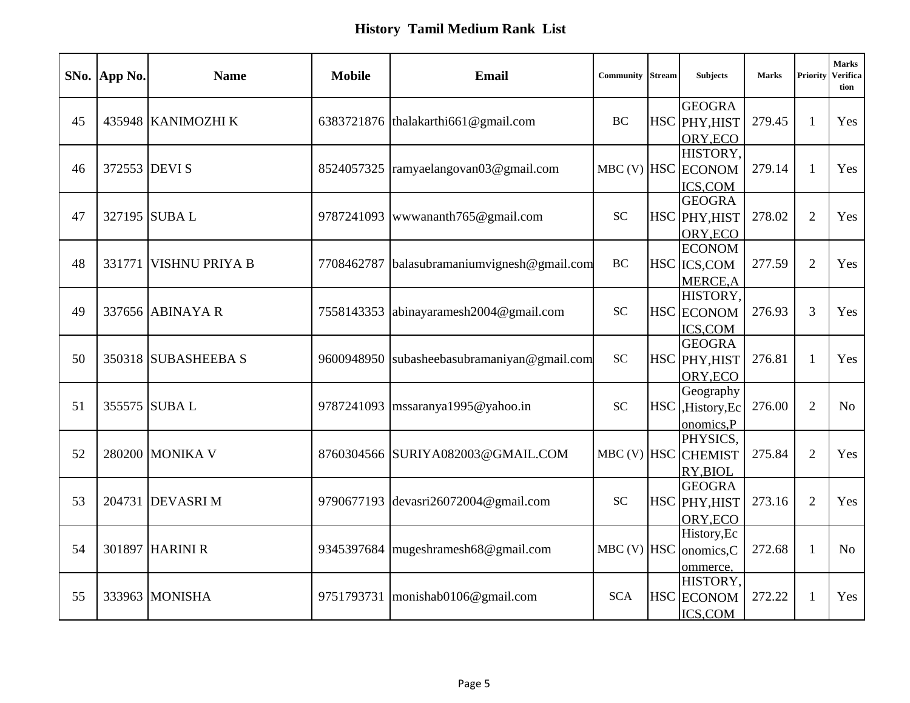| <b>GEOGRA</b><br>435948 KANIMOZHI K<br>HSC PHY, HIST<br>279.45<br>45<br>6383721876 thalakarthi661@gmail.com<br><b>BC</b><br>$\mathbf{1}$<br>Yes<br>ORY, ECO<br>HISTORY,<br>MBC (V) HSC ECONOM<br>372553 DEVI S<br>ramyaelangovan03@gmail.com<br>279.14<br>46<br>8524057325<br>1<br>Yes<br><b>ICS,COM</b><br><b>GEOGRA</b><br>327195 SUBAL<br>$\overline{2}$<br>47<br><b>SC</b><br>9787241093<br>www.ananth765@gmail.com<br>HSC PHY, HIST<br>278.02<br>Yes<br>ORY, ECO<br><b>ECONOM</b><br>$\overline{2}$<br>48<br>331771<br><b>VISHNU PRIYA B</b><br>7708462787<br>balasubramaniumvignesh@gmail.com<br><b>BC</b><br>HSC ICS, COM<br>277.59<br>Yes<br>MERCE, A<br>HISTORY,<br><b>SC</b><br>3<br>49<br>337656 ABINAYA R<br>7558143353<br>HSC ECONOM<br>276.93<br>abinayaramesh2004@gmail.com<br>Yes<br>ICS,COM<br><b>GEOGRA</b><br>350318 SUBASHEEBA S<br><b>SC</b><br>HSC PHY, HIST<br>276.81<br>50<br>9600948950<br>subasheebasubramaniyan@gmail.com<br>Yes<br>$\mathbf{1}$<br>ORY, ECO<br>Geography<br>355575 SUBAL<br>$\overline{2}$<br>51<br>9787241093<br>$\text{mssaranya}$ 1995@yahoo.in<br><b>SC</b><br><b>HSC</b><br>276.00<br>N <sub>o</sub><br>,History,Ec<br>onomics,P<br>PHYSICS,<br>MBC (V) HSC CHEMIST<br>280200 MONIKA V<br>8760304566 SURIYA082003@GMAIL.COM<br>$\overline{2}$<br>52<br>275.84<br>Yes<br>RY, BIOL<br><b>GEOGRA</b><br>53<br>204731 DEVASRI M<br>273.16<br>2<br>9790677193<br>devasri26072004@gmail.com<br><b>SC</b><br>HSC PHY, HIST<br>Yes<br>ORY, ECO<br>History, Ec<br>54<br>301897 HARINI R<br>9345397684<br>mugeshramesh68@gmail.com<br>$MBC$ (V) $HSC$<br>272.68<br>$\mathbf{1}$<br>onomics,C<br>N <sub>0</sub><br>ommerce,<br>HISTORY,<br>55<br>333963 MONISHA<br>monishab0106@gmail.com<br><b>SCA</b><br><b>HSC</b> ECONOM<br>272.22<br>Yes<br>9751793731<br>1 | SNo. App No. | <b>Name</b> | <b>Mobile</b> | <b>Email</b> | Community | <b>Stream</b> | <b>Subjects</b> | <b>Marks</b> | Priority | <b>Marks</b><br>Verifica<br>tion |
|--------------------------------------------------------------------------------------------------------------------------------------------------------------------------------------------------------------------------------------------------------------------------------------------------------------------------------------------------------------------------------------------------------------------------------------------------------------------------------------------------------------------------------------------------------------------------------------------------------------------------------------------------------------------------------------------------------------------------------------------------------------------------------------------------------------------------------------------------------------------------------------------------------------------------------------------------------------------------------------------------------------------------------------------------------------------------------------------------------------------------------------------------------------------------------------------------------------------------------------------------------------------------------------------------------------------------------------------------------------------------------------------------------------------------------------------------------------------------------------------------------------------------------------------------------------------------------------------------------------------------------------------------------------------------------------------------------------------------------------------------------------------------------------------------------|--------------|-------------|---------------|--------------|-----------|---------------|-----------------|--------------|----------|----------------------------------|
|                                                                                                                                                                                                                                                                                                                                                                                                                                                                                                                                                                                                                                                                                                                                                                                                                                                                                                                                                                                                                                                                                                                                                                                                                                                                                                                                                                                                                                                                                                                                                                                                                                                                                                                                                                                                        |              |             |               |              |           |               |                 |              |          |                                  |
|                                                                                                                                                                                                                                                                                                                                                                                                                                                                                                                                                                                                                                                                                                                                                                                                                                                                                                                                                                                                                                                                                                                                                                                                                                                                                                                                                                                                                                                                                                                                                                                                                                                                                                                                                                                                        |              |             |               |              |           |               |                 |              |          |                                  |
|                                                                                                                                                                                                                                                                                                                                                                                                                                                                                                                                                                                                                                                                                                                                                                                                                                                                                                                                                                                                                                                                                                                                                                                                                                                                                                                                                                                                                                                                                                                                                                                                                                                                                                                                                                                                        |              |             |               |              |           |               |                 |              |          |                                  |
|                                                                                                                                                                                                                                                                                                                                                                                                                                                                                                                                                                                                                                                                                                                                                                                                                                                                                                                                                                                                                                                                                                                                                                                                                                                                                                                                                                                                                                                                                                                                                                                                                                                                                                                                                                                                        |              |             |               |              |           |               |                 |              |          |                                  |
|                                                                                                                                                                                                                                                                                                                                                                                                                                                                                                                                                                                                                                                                                                                                                                                                                                                                                                                                                                                                                                                                                                                                                                                                                                                                                                                                                                                                                                                                                                                                                                                                                                                                                                                                                                                                        |              |             |               |              |           |               |                 |              |          |                                  |
|                                                                                                                                                                                                                                                                                                                                                                                                                                                                                                                                                                                                                                                                                                                                                                                                                                                                                                                                                                                                                                                                                                                                                                                                                                                                                                                                                                                                                                                                                                                                                                                                                                                                                                                                                                                                        |              |             |               |              |           |               |                 |              |          |                                  |
|                                                                                                                                                                                                                                                                                                                                                                                                                                                                                                                                                                                                                                                                                                                                                                                                                                                                                                                                                                                                                                                                                                                                                                                                                                                                                                                                                                                                                                                                                                                                                                                                                                                                                                                                                                                                        |              |             |               |              |           |               |                 |              |          |                                  |
|                                                                                                                                                                                                                                                                                                                                                                                                                                                                                                                                                                                                                                                                                                                                                                                                                                                                                                                                                                                                                                                                                                                                                                                                                                                                                                                                                                                                                                                                                                                                                                                                                                                                                                                                                                                                        |              |             |               |              |           |               |                 |              |          |                                  |
|                                                                                                                                                                                                                                                                                                                                                                                                                                                                                                                                                                                                                                                                                                                                                                                                                                                                                                                                                                                                                                                                                                                                                                                                                                                                                                                                                                                                                                                                                                                                                                                                                                                                                                                                                                                                        |              |             |               |              |           |               |                 |              |          |                                  |
|                                                                                                                                                                                                                                                                                                                                                                                                                                                                                                                                                                                                                                                                                                                                                                                                                                                                                                                                                                                                                                                                                                                                                                                                                                                                                                                                                                                                                                                                                                                                                                                                                                                                                                                                                                                                        |              |             |               |              |           |               |                 |              |          |                                  |
|                                                                                                                                                                                                                                                                                                                                                                                                                                                                                                                                                                                                                                                                                                                                                                                                                                                                                                                                                                                                                                                                                                                                                                                                                                                                                                                                                                                                                                                                                                                                                                                                                                                                                                                                                                                                        |              |             |               |              |           |               |                 |              |          |                                  |
|                                                                                                                                                                                                                                                                                                                                                                                                                                                                                                                                                                                                                                                                                                                                                                                                                                                                                                                                                                                                                                                                                                                                                                                                                                                                                                                                                                                                                                                                                                                                                                                                                                                                                                                                                                                                        |              |             |               |              |           |               |                 |              |          |                                  |
|                                                                                                                                                                                                                                                                                                                                                                                                                                                                                                                                                                                                                                                                                                                                                                                                                                                                                                                                                                                                                                                                                                                                                                                                                                                                                                                                                                                                                                                                                                                                                                                                                                                                                                                                                                                                        |              |             |               |              |           |               |                 |              |          |                                  |
|                                                                                                                                                                                                                                                                                                                                                                                                                                                                                                                                                                                                                                                                                                                                                                                                                                                                                                                                                                                                                                                                                                                                                                                                                                                                                                                                                                                                                                                                                                                                                                                                                                                                                                                                                                                                        |              |             |               |              |           |               |                 |              |          |                                  |
|                                                                                                                                                                                                                                                                                                                                                                                                                                                                                                                                                                                                                                                                                                                                                                                                                                                                                                                                                                                                                                                                                                                                                                                                                                                                                                                                                                                                                                                                                                                                                                                                                                                                                                                                                                                                        |              |             |               |              |           |               |                 |              |          |                                  |
|                                                                                                                                                                                                                                                                                                                                                                                                                                                                                                                                                                                                                                                                                                                                                                                                                                                                                                                                                                                                                                                                                                                                                                                                                                                                                                                                                                                                                                                                                                                                                                                                                                                                                                                                                                                                        |              |             |               |              |           |               |                 |              |          |                                  |
|                                                                                                                                                                                                                                                                                                                                                                                                                                                                                                                                                                                                                                                                                                                                                                                                                                                                                                                                                                                                                                                                                                                                                                                                                                                                                                                                                                                                                                                                                                                                                                                                                                                                                                                                                                                                        |              |             |               |              |           |               |                 |              |          |                                  |
|                                                                                                                                                                                                                                                                                                                                                                                                                                                                                                                                                                                                                                                                                                                                                                                                                                                                                                                                                                                                                                                                                                                                                                                                                                                                                                                                                                                                                                                                                                                                                                                                                                                                                                                                                                                                        |              |             |               |              |           |               |                 |              |          |                                  |
|                                                                                                                                                                                                                                                                                                                                                                                                                                                                                                                                                                                                                                                                                                                                                                                                                                                                                                                                                                                                                                                                                                                                                                                                                                                                                                                                                                                                                                                                                                                                                                                                                                                                                                                                                                                                        |              |             |               |              |           |               |                 |              |          |                                  |
|                                                                                                                                                                                                                                                                                                                                                                                                                                                                                                                                                                                                                                                                                                                                                                                                                                                                                                                                                                                                                                                                                                                                                                                                                                                                                                                                                                                                                                                                                                                                                                                                                                                                                                                                                                                                        |              |             |               |              |           |               |                 |              |          |                                  |
|                                                                                                                                                                                                                                                                                                                                                                                                                                                                                                                                                                                                                                                                                                                                                                                                                                                                                                                                                                                                                                                                                                                                                                                                                                                                                                                                                                                                                                                                                                                                                                                                                                                                                                                                                                                                        |              |             |               |              |           |               |                 |              |          |                                  |
|                                                                                                                                                                                                                                                                                                                                                                                                                                                                                                                                                                                                                                                                                                                                                                                                                                                                                                                                                                                                                                                                                                                                                                                                                                                                                                                                                                                                                                                                                                                                                                                                                                                                                                                                                                                                        |              |             |               |              |           |               |                 |              |          |                                  |
|                                                                                                                                                                                                                                                                                                                                                                                                                                                                                                                                                                                                                                                                                                                                                                                                                                                                                                                                                                                                                                                                                                                                                                                                                                                                                                                                                                                                                                                                                                                                                                                                                                                                                                                                                                                                        |              |             |               |              |           |               |                 |              |          |                                  |
|                                                                                                                                                                                                                                                                                                                                                                                                                                                                                                                                                                                                                                                                                                                                                                                                                                                                                                                                                                                                                                                                                                                                                                                                                                                                                                                                                                                                                                                                                                                                                                                                                                                                                                                                                                                                        |              |             |               |              |           |               |                 |              |          |                                  |
|                                                                                                                                                                                                                                                                                                                                                                                                                                                                                                                                                                                                                                                                                                                                                                                                                                                                                                                                                                                                                                                                                                                                                                                                                                                                                                                                                                                                                                                                                                                                                                                                                                                                                                                                                                                                        |              |             |               |              |           |               |                 |              |          |                                  |
|                                                                                                                                                                                                                                                                                                                                                                                                                                                                                                                                                                                                                                                                                                                                                                                                                                                                                                                                                                                                                                                                                                                                                                                                                                                                                                                                                                                                                                                                                                                                                                                                                                                                                                                                                                                                        |              |             |               |              |           |               |                 |              |          |                                  |
|                                                                                                                                                                                                                                                                                                                                                                                                                                                                                                                                                                                                                                                                                                                                                                                                                                                                                                                                                                                                                                                                                                                                                                                                                                                                                                                                                                                                                                                                                                                                                                                                                                                                                                                                                                                                        |              |             |               |              |           |               |                 |              |          |                                  |
|                                                                                                                                                                                                                                                                                                                                                                                                                                                                                                                                                                                                                                                                                                                                                                                                                                                                                                                                                                                                                                                                                                                                                                                                                                                                                                                                                                                                                                                                                                                                                                                                                                                                                                                                                                                                        |              |             |               |              |           |               |                 |              |          |                                  |
|                                                                                                                                                                                                                                                                                                                                                                                                                                                                                                                                                                                                                                                                                                                                                                                                                                                                                                                                                                                                                                                                                                                                                                                                                                                                                                                                                                                                                                                                                                                                                                                                                                                                                                                                                                                                        |              |             |               |              |           |               |                 |              |          |                                  |
|                                                                                                                                                                                                                                                                                                                                                                                                                                                                                                                                                                                                                                                                                                                                                                                                                                                                                                                                                                                                                                                                                                                                                                                                                                                                                                                                                                                                                                                                                                                                                                                                                                                                                                                                                                                                        |              |             |               |              |           |               |                 |              |          |                                  |
|                                                                                                                                                                                                                                                                                                                                                                                                                                                                                                                                                                                                                                                                                                                                                                                                                                                                                                                                                                                                                                                                                                                                                                                                                                                                                                                                                                                                                                                                                                                                                                                                                                                                                                                                                                                                        |              |             |               |              |           |               | ICS,COM         |              |          |                                  |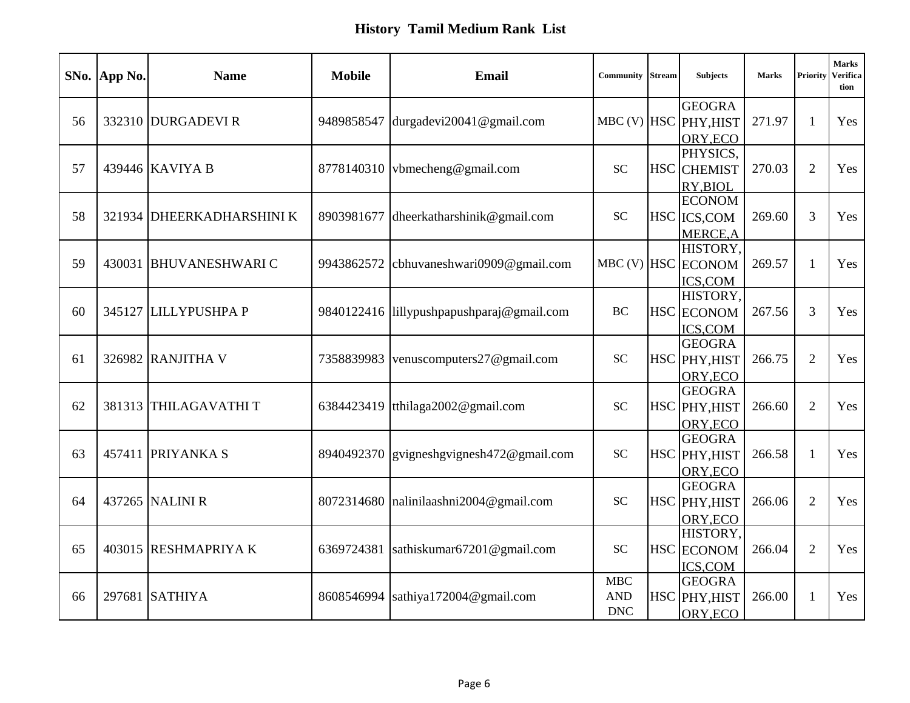|    | SNo. App No. | <b>Name</b>               | <b>Mobile</b> | <b>Email</b>                   | <b>Community</b> Stream    | <b>Subjects</b>           | <b>Marks</b> | Priority       | <b>Marks</b><br><b>Verifica</b><br>tion |
|----|--------------|---------------------------|---------------|--------------------------------|----------------------------|---------------------------|--------------|----------------|-----------------------------------------|
|    |              |                           |               |                                |                            | <b>GEOGRA</b>             |              |                |                                         |
| 56 |              | 332310 DURGADEVI R        | 9489858547    | durgadevi20041@gmail.com       |                            | MBC (V) HSC PHY, HIST     | 271.97       | -1             | Yes                                     |
|    |              |                           |               |                                |                            | ORY, ECO                  |              |                |                                         |
|    |              |                           |               |                                |                            | PHYSICS,                  |              |                |                                         |
| 57 |              | 439446 KAVIYA B           | 8778140310    | vbmecheng@gmail.com            | <b>SC</b>                  | <b>HSC</b> CHEMIST        | 270.03       | $\overline{2}$ | Yes                                     |
|    |              |                           |               |                                |                            | RY, BIOL<br><b>ECONOM</b> |              |                |                                         |
| 58 |              | 321934 DHEERKADHARSHINI K | 8903981677    |                                | <b>SC</b>                  |                           | 269.60       | 3              | Yes                                     |
|    |              |                           |               | dheerkatharshinik@gmail.com    |                            | HSC ICS, COM              |              |                |                                         |
|    |              |                           |               |                                |                            | MERCE, A<br>HISTORY.      |              |                |                                         |
| 59 | 430031       | <b>BHUVANESHWARIC</b>     | 9943862572    | cbhuvaneshwari0909@gmail.com   |                            | MBC (V) HSC ECONOM        | 269.57       |                | Yes                                     |
|    |              |                           |               |                                |                            | <b>ICS,COM</b>            |              |                |                                         |
|    |              |                           |               |                                |                            | HISTORY,                  |              |                |                                         |
| 60 |              | 345127 LILLYPUSHPA P      | 9840122416    | lillypushpapushparaj@gmail.com | <b>BC</b>                  | <b>HSC</b> ECONOM         | 267.56       | 3              | Yes                                     |
|    |              |                           |               |                                |                            | ICS,COM                   |              |                |                                         |
|    |              |                           |               |                                |                            | <b>GEOGRA</b>             |              |                |                                         |
| 61 |              | 326982 RANJITHA V         | 7358839983    | venuscomputers27@gmail.com     | $\ensuremath{\mathbf{SC}}$ | HSC PHY, HIST             | 266.75       | $\overline{2}$ | Yes                                     |
|    |              |                           |               |                                |                            | ORY, ECO                  |              |                |                                         |
|    |              |                           |               |                                |                            | <b>GEOGRA</b>             |              |                |                                         |
| 62 |              | 381313 THILAGAVATHIT      | 6384423419    | tthilaga2002@gmail.com         | <b>SC</b>                  | HSC PHY, HIST             | 266.60       | $\overline{2}$ | Yes                                     |
|    |              |                           |               |                                |                            | ORY, ECO                  |              |                |                                         |
|    |              |                           |               |                                |                            | <b>GEOGRA</b>             |              |                |                                         |
| 63 | 457411       | <b>PRIYANKA S</b>         | 8940492370    | gvigneshgvignesh472@gmail.com  | $\ensuremath{\mathbf{SC}}$ | HSC PHY, HIST             | 266.58       |                | Yes                                     |
|    |              |                           |               |                                |                            | ORY, ECO                  |              |                |                                         |
|    |              |                           |               |                                |                            | <b>GEOGRA</b>             |              |                |                                         |
| 64 |              | 437265 NALINI R           | 8072314680    | nalinilaashni2004@gmail.com    | <b>SC</b>                  | HSC PHY, HIST             | 266.06       | 2              | Yes                                     |
|    |              |                           |               |                                |                            | ORY, ECO                  |              |                |                                         |
|    |              |                           |               |                                |                            | HISTORY,                  |              |                |                                         |
| 65 |              | 403015 RESHMAPRIYA K      | 6369724381    | sathiskumar67201@gmail.com     | <b>SC</b>                  | <b>HSC</b> ECONOM         | 266.04       | $\overline{2}$ | Yes                                     |
|    |              |                           |               |                                |                            | ICS,COM                   |              |                |                                         |
|    |              |                           |               |                                | <b>MBC</b>                 | <b>GEOGRA</b>             |              |                |                                         |
| 66 |              | 297681 SATHIYA            | 8608546994    | sathiya172004@gmail.com        | <b>AND</b>                 | HSC PHY, HIST             | 266.00       |                | Yes                                     |
|    |              |                           |               |                                | <b>DNC</b>                 | ORY, ECO                  |              |                |                                         |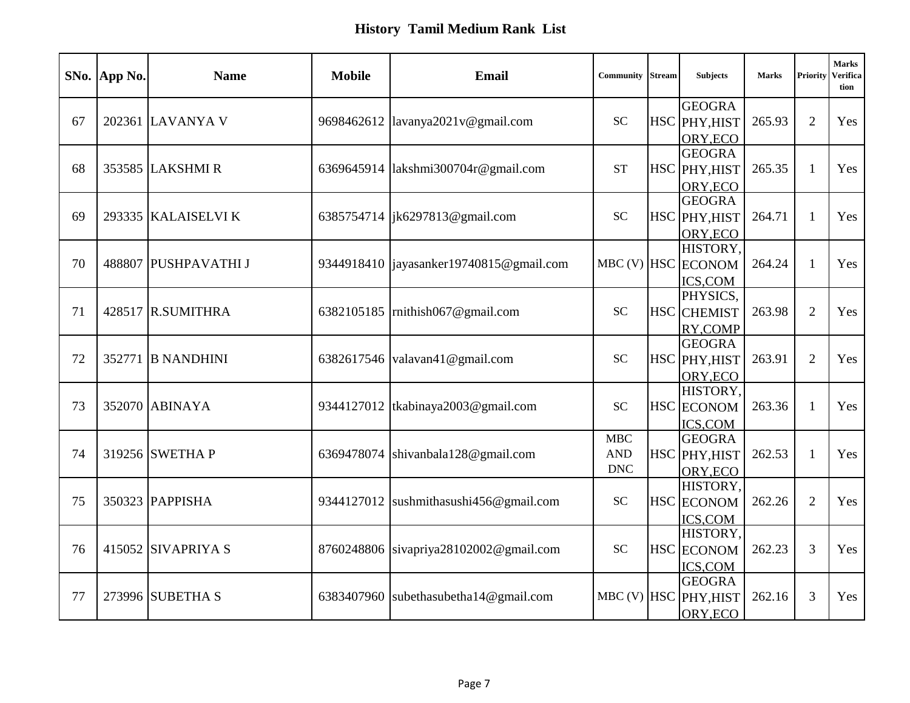|    | SNo. App No. | <b>Name</b>          | <b>Mobile</b> | <b>Email</b>                              | Community         | <b>Stream</b> | <b>Subjects</b>                | <b>Marks</b> | Priority       | <b>Marks</b><br>Verifica<br>tion |
|----|--------------|----------------------|---------------|-------------------------------------------|-------------------|---------------|--------------------------------|--------------|----------------|----------------------------------|
| 67 |              | 202361 LAVANYA V     | 9698462612    | lavanya2021v@gmail.com                    | <b>SC</b>         |               | <b>GEOGRA</b><br>HSC PHY, HIST | 265.93       | $\overline{2}$ | Yes                              |
|    |              |                      |               |                                           |                   |               | ORY, ECO                       |              |                |                                  |
|    |              |                      |               |                                           |                   |               | <b>GEOGRA</b>                  |              |                |                                  |
| 68 |              | 353585 LAKSHMIR      | 6369645914    | lakshmi300704r@gmail.com                  | <b>ST</b>         |               | HSC PHY, HIST                  | 265.35       | 1              | Yes                              |
|    |              |                      |               |                                           |                   |               | ORY, ECO                       |              |                |                                  |
|    |              |                      |               |                                           |                   |               | <b>GEOGRA</b>                  |              |                |                                  |
| 69 |              | 293335 KALAISELVI K  |               | 6385754714  jk6297813@gmail.com           | <b>SC</b>         |               | HSC PHY, HIST                  | 264.71       | $\mathbf{1}$   | Yes                              |
|    |              |                      |               |                                           |                   |               | ORY, ECO                       |              |                |                                  |
|    |              |                      |               |                                           |                   |               | HISTORY,                       |              |                |                                  |
| 70 |              | 488807 PUSHPAVATHI J |               | 9344918410   jayasanker19740815@gmail.com |                   |               | MBC (V) HSC ECONOM             | 264.24       | 1              | Yes                              |
|    |              |                      |               |                                           |                   |               | ICS,COM                        |              |                |                                  |
|    |              |                      |               |                                           |                   |               | PHYSICS,                       |              |                |                                  |
| 71 |              | 428517 R.SUMITHRA    | 6382105185    | mithish067@gmail.com                      | <b>SC</b>         |               | <b>HSC</b> CHEMIST             | 263.98       | $\overline{2}$ | Yes                              |
|    |              |                      |               |                                           |                   |               | RY, COMP                       |              |                |                                  |
|    |              |                      |               |                                           |                   |               | <b>GEOGRA</b>                  |              |                |                                  |
| 72 |              | 352771 B NANDHINI    | 6382617546    | valavan41@gmail.com                       | <b>SC</b>         |               | HSC PHY, HIST                  | 263.91       | $\overline{2}$ | Yes                              |
|    |              |                      |               |                                           |                   |               | ORY, ECO                       |              |                |                                  |
|    |              |                      |               |                                           |                   |               | HISTORY,                       |              |                |                                  |
| 73 |              | 352070 ABINAYA       | 9344127012    | tkabinaya2003@gmail.com                   | <b>SC</b>         |               | <b>HSC</b> ECONOM              | 263.36       | $\mathbf{1}$   | Yes                              |
|    |              |                      |               |                                           |                   |               | ICS,COM                        |              |                |                                  |
|    |              | 319256 SWETHA P      |               |                                           | MBC<br><b>AND</b> |               | <b>GEOGRA</b>                  |              |                |                                  |
| 74 |              |                      | 6369478074    | shivanbala128@gmail.com                   | <b>DNC</b>        |               | HSC PHY, HIST                  | 262.53       | 1              | Yes                              |
|    |              |                      |               |                                           |                   |               | ORY, ECO<br>HISTORY,           |              |                |                                  |
| 75 |              | 350323 PAPPISHA      | 9344127012    | sushmithasushi456@gmail.com               | <b>SC</b>         |               | HSC ECONOM                     | 262.26       | $\overline{2}$ | Yes                              |
|    |              |                      |               |                                           |                   |               | ICS,COM                        |              |                |                                  |
|    |              |                      |               |                                           |                   |               | HISTORY,                       |              |                |                                  |
| 76 |              | 415052 SIVAPRIYA S   |               | 8760248806 sivapriya28102002@gmail.com    | <b>SC</b>         |               | <b>HSC</b> ECONOM              | 262.23       | 3              | Yes                              |
|    |              |                      |               |                                           |                   |               | ICS,COM                        |              |                |                                  |
|    |              |                      |               |                                           |                   |               | <b>GEOGRA</b>                  |              |                |                                  |
| 77 |              | 273996 SUBETHA S     | 6383407960    | subethasubetha14@gmail.com                |                   |               | MBC (V) HSC PHY, HIST          | 262.16       | 3              | Yes                              |
|    |              |                      |               |                                           |                   |               | ORY, ECO                       |              |                |                                  |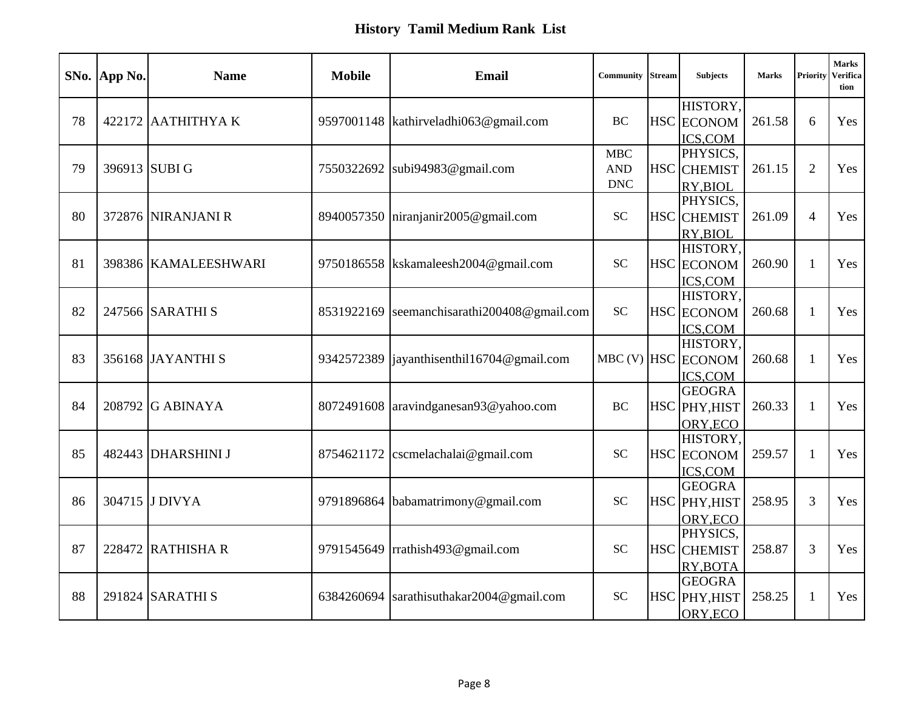|    | SNo. App No. | <b>Name</b>          | <b>Mobile</b> | <b>Email</b>                            | Community                       | <b>Stream</b> | <b>Subjects</b>                            | <b>Marks</b> | Priority     | <b>Marks</b><br>Verifica<br>tion |
|----|--------------|----------------------|---------------|-----------------------------------------|---------------------------------|---------------|--------------------------------------------|--------------|--------------|----------------------------------|
| 78 |              | $422172$ AATHITHYA K |               | 9597001148   kathirveladhi063@gmail.com | <b>BC</b>                       |               | HISTORY,<br>HSC ECONOM<br>ICS,COM          | 261.58       | 6            | Yes                              |
| 79 |              | 396913 SUBI G        | 7550322692    | subi94983@gmail.com                     | MBC<br><b>AND</b><br><b>DNC</b> |               | PHYSICS,<br><b>HSC</b> CHEMIST<br>RY, BIOL | 261.15       | 2            | Yes                              |
| 80 |              | 372876 NIRANJANI R   | 8940057350    | niranjanir2005@gmail.com                | <b>SC</b>                       |               | PHYSICS,<br><b>HSC</b> CHEMIST<br>RY, BIOL | 261.09       | 4            | Yes                              |
| 81 |              | 398386 KAMALEESHWARI |               | 9750186558 kskamaleesh2004@gmail.com    | <b>SC</b>                       |               | HISTORY,<br>HSC ECONOM<br>ICS,COM          | 260.90       | 1            | Yes                              |
| 82 |              | 247566 SARATHI S     | 8531922169    | seemanchisarathi200408@gmail.com        | <b>SC</b>                       |               | HISTORY,<br><b>HSC</b> ECONOM<br>ICS,COM   | 260.68       | $\mathbf{1}$ | Yes                              |
| 83 |              | 356168 JAYANTHI S    | 9342572389    | $[$ iayanthisenthil16704@gmail.com      |                                 |               | HISTORY,<br>MBC (V) HSC ECONOM<br>ICS,COM  | 260.68       | 1            | Yes                              |
| 84 |              | 208792 G ABINAYA     | 8072491608    | aravindganesan93@yahoo.com              | BC                              |               | <b>GEOGRA</b><br>HSC PHY, HIST<br>ORY, ECO | 260.33       | $\mathbf{1}$ | Yes                              |
| 85 |              | 482443 DHARSHINI J   | 8754621172    | cscmelachalai@gmail.com                 | <b>SC</b>                       |               | HISTORY,<br>HSC ECONOM<br>ICS,COM          | 259.57       | 1            | Yes                              |
| 86 |              | 304715 J DIVYA       | 9791896864    | babamatrimony@gmail.com                 | <b>SC</b>                       |               | <b>GEOGRA</b><br>HSC PHY, HIST<br>ORY, ECO | 258.95       | 3            | Yes                              |
| 87 |              | 228472 RATHISHA R    | 9791545649    | rrathish493@gmail.com                   | <b>SC</b>                       |               | PHYSICS,<br><b>HSC</b> CHEMIST<br>RY, BOTA | 258.87       | 3            | Yes                              |
| 88 |              | 291824 SARATHI S     | 6384260694    | sarathisuthakar2004@gmail.com           | <b>SC</b>                       |               | <b>GEOGRA</b><br>HSC PHY, HIST<br>ORY, ECO | 258.25       | 1            | Yes                              |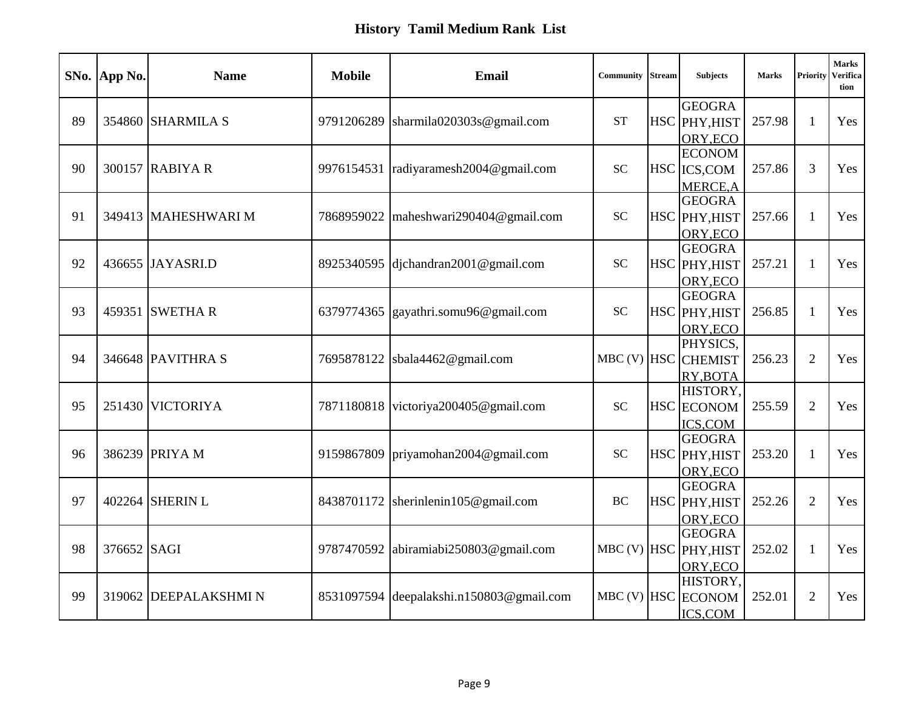|    | SNo. App No. | <b>Name</b>          | <b>Mobile</b> | <b>Email</b>                  | Community       | <b>Stream</b> | <b>Subjects</b>                  | <b>Marks</b> | Priority       | <b>Marks</b><br>Verifica<br>tion |
|----|--------------|----------------------|---------------|-------------------------------|-----------------|---------------|----------------------------------|--------------|----------------|----------------------------------|
|    |              |                      |               |                               |                 |               | <b>GEOGRA</b>                    |              |                |                                  |
| 89 |              | 354860 SHARMILA S    | 9791206289    | sharmila020303s@gmail.com     | <b>ST</b>       |               | HSC PHY, HIST                    | 257.98       | $\mathbf{1}$   | Yes                              |
|    |              |                      |               |                               |                 |               | ORY, ECO                         |              |                |                                  |
| 90 |              | 300157 RABIYA R      | 9976154531    | radiyaramesh2004@gmail.com    | <b>SC</b>       |               | <b>ECONOM</b><br>HSC ICS, COM    | 257.86       | 3              | Yes                              |
|    |              |                      |               |                               |                 |               |                                  |              |                |                                  |
|    |              |                      |               |                               |                 |               | <b>MERCE, A</b><br><b>GEOGRA</b> |              |                |                                  |
| 91 |              | 349413 MAHESHWARI M  | 7868959022    | maheshwari290404@gmail.com    | <b>SC</b>       |               | HSC PHY, HIST                    | 257.66       | $\mathbf{1}$   | Yes                              |
|    |              |                      |               |                               |                 |               | ORY, ECO                         |              |                |                                  |
|    |              |                      |               |                               |                 |               | <b>GEOGRA</b>                    |              |                |                                  |
| 92 |              | 436655 JAYASRI.D     | 8925340595    | djchandran2001@gmail.com      | <b>SC</b>       |               | HSC PHY, HIST                    | 257.21       | 1              | Yes                              |
|    |              |                      |               |                               |                 |               | ORY, ECO                         |              |                |                                  |
|    |              |                      |               |                               |                 |               | <b>GEOGRA</b>                    |              |                |                                  |
| 93 |              | 459351 SWETHAR       | 6379774365    | gayathri.somu96@gmail.com     | <b>SC</b>       |               | HSC PHY, HIST                    | 256.85       | 1              | Yes                              |
|    |              |                      |               |                               |                 |               | ORY, ECO                         |              |                |                                  |
|    |              |                      |               |                               |                 |               | PHYSICS,                         |              |                |                                  |
| 94 |              | 346648 PAVITHRA S    | 7695878122    | sbala4462@gmail.com           | $MBC$ (V) $HSC$ |               | <b>CHEMIST</b>                   | 256.23       | $\overline{2}$ | Yes                              |
|    |              |                      |               |                               |                 |               | RY, BOTA                         |              |                |                                  |
|    |              |                      |               |                               |                 |               | HISTORY,                         |              |                |                                  |
| 95 |              | 251430 VICTORIYA     | 7871180818    | victoriya200405@gmail.com     | <b>SC</b>       |               | <b>HSC</b> ECONOM                | 255.59       | $\overline{2}$ | Yes                              |
|    |              |                      |               |                               |                 |               | ICS,COM                          |              |                |                                  |
|    |              |                      |               |                               |                 |               | <b>GEOGRA</b>                    |              |                |                                  |
| 96 |              | 386239 PRIYA M       | 9159867809    | priyamohan2004@gmail.com      | <b>SC</b>       |               | HSC PHY, HIST                    | 253.20       | 1              | Yes                              |
|    |              |                      |               |                               |                 |               | ORY, ECO<br><b>GEOGRA</b>        |              |                |                                  |
| 97 |              | 402264 SHERIN L      | 8438701172    | sherinlenin105@gmail.com      | <b>BC</b>       |               | HSC PHY, HIST                    | 252.26       | 2              | Yes                              |
|    |              |                      |               |                               |                 |               | ORY, ECO                         |              |                |                                  |
|    |              |                      |               |                               |                 |               | <b>GEOGRA</b>                    |              |                |                                  |
| 98 | 376652 SAGI  |                      | 9787470592    | abiramiabi250803@gmail.com    |                 |               | MBC (V) HSC PHY, HIST            | 252.02       | $\mathbf{1}$   | Yes                              |
|    |              |                      |               |                               |                 |               | ORY, ECO                         |              |                |                                  |
|    |              |                      |               |                               |                 |               | HISTORY,                         |              |                |                                  |
| 99 | 319062       | <b>DEEPALAKSHMIN</b> | 8531097594    | deepalakshi.n150803@gmail.com |                 |               | MBC (V) HSC ECONOM               | 252.01       | $\overline{2}$ | Yes                              |
|    |              |                      |               |                               |                 |               | ICS,COM                          |              |                |                                  |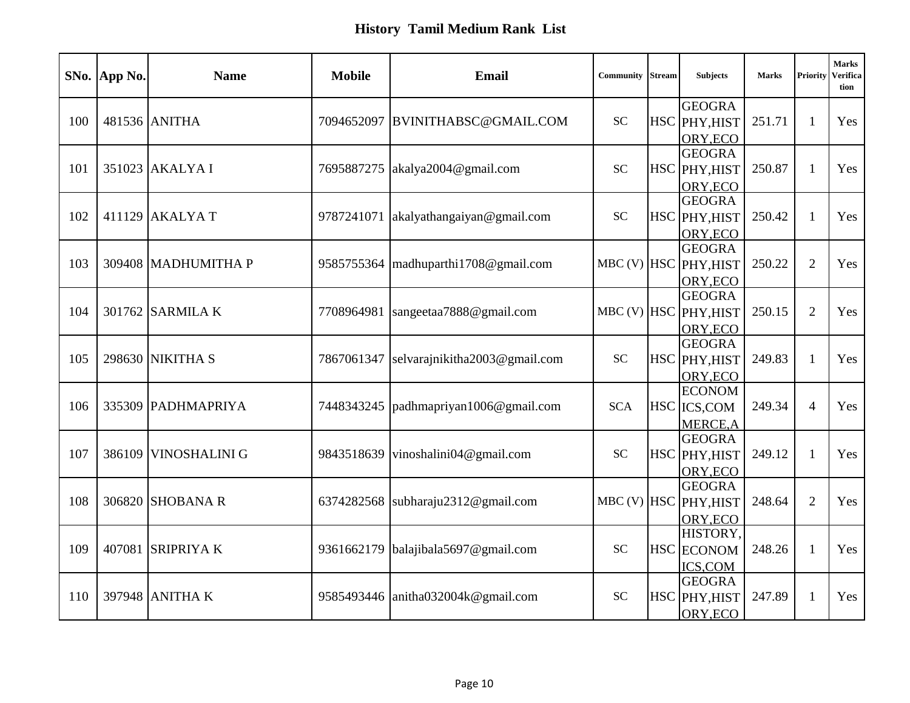|     | SNo. App No. | <b>Name</b>          | <b>Mobile</b> | <b>Email</b>                  | <b>Community</b> Stream    | <b>Subjects</b>                | <b>Marks</b> | Priority       | <b>Marks</b><br>Verifica<br>tion |
|-----|--------------|----------------------|---------------|-------------------------------|----------------------------|--------------------------------|--------------|----------------|----------------------------------|
|     |              |                      |               |                               |                            | <b>GEOGRA</b>                  |              |                |                                  |
| 100 |              | 481536 ANITHA        | 7094652097    | BVINITHABSC@GMAIL.COM         | SC                         | HSC PHY, HIST                  | 251.71       | $\mathbf{1}$   | Yes                              |
|     |              |                      |               |                               |                            | ORY, ECO                       |              |                |                                  |
| 101 |              | 351023 AKALYA I      | 7695887275    | akalya2004@gmail.com          | <b>SC</b>                  | <b>GEOGRA</b><br>HSC PHY, HIST | 250.87       | 1              | Yes                              |
|     |              |                      |               |                               |                            | ORY, ECO                       |              |                |                                  |
|     |              |                      |               |                               |                            | <b>GEOGRA</b>                  |              |                |                                  |
| 102 |              | 411129 AKALYA T      | 9787241071    | akalyathangaiyan@gmail.com    | $\ensuremath{\mathbf{SC}}$ | HSC PHY, HIST                  | 250.42       | 1              | Yes                              |
|     |              |                      |               |                               |                            | ORY, ECO                       |              |                |                                  |
|     |              |                      |               |                               |                            | <b>GEOGRA</b>                  |              |                |                                  |
| 103 |              | 309408 MADHUMITHA P  | 9585755364    | madhuparthi1708@gmail.com     | $MBC$ (V) $HSC$            | PHY, HIST                      | 250.22       | $\overline{2}$ | Yes                              |
|     |              |                      |               |                               |                            | ORY, ECO                       |              |                |                                  |
|     |              |                      |               |                               |                            | <b>GEOGRA</b>                  |              |                |                                  |
| 104 |              | 301762 SARMILA K     | 7708964981    | sangeetaa7888@gmail.com       |                            | MBC (V) HSC PHY, HIST          | 250.15       | 2              | Yes                              |
|     |              |                      |               |                               |                            | ORY, ECO                       |              |                |                                  |
|     |              |                      |               |                               |                            | <b>GEOGRA</b>                  |              |                |                                  |
| 105 |              | 298630 NIKITHA S     | 7867061347    | selvarajnikitha2003@gmail.com | <b>SC</b>                  | HSC PHY, HIST                  | 249.83       | $\mathbf{1}$   | Yes                              |
|     |              |                      |               |                               |                            | ORY, ECO                       |              |                |                                  |
|     |              |                      |               |                               |                            | <b>ECONOM</b>                  |              |                |                                  |
| 106 |              | 335309 PADHMAPRIYA   | 7448343245    | padhmapriyan1006@gmail.com    | <b>SCA</b>                 | HSC ICS, COM                   | 249.34       | $\overline{4}$ | Yes                              |
|     |              |                      |               |                               |                            | MERCE, A                       |              |                |                                  |
|     |              |                      |               |                               |                            | <b>GEOGRA</b>                  |              |                |                                  |
| 107 |              | 386109 VINOSHALINI G | 9843518639    | vinoshalini04@gmail.com       | SC                         | HSC PHY, HIST                  | 249.12       | 1              | Yes                              |
|     |              |                      |               |                               |                            | ORY, ECO                       |              |                |                                  |
|     |              |                      |               |                               |                            | <b>GEOGRA</b>                  |              |                |                                  |
| 108 |              | 306820 SHOBANA R     | 6374282568    | subharaju2312@gmail.com       |                            | MBC (V) HSC PHY, HIST          | 248.64       | 2              | Yes                              |
|     |              |                      |               |                               |                            | ORY, ECO                       |              |                |                                  |
| 109 | 407081       | <b>SRIPRIYAK</b>     | 9361662179    | balajibala5697@gmail.com      | <b>SC</b>                  | HISTORY,                       | 248.26       | 1              | Yes                              |
|     |              |                      |               |                               |                            | <b>HSC</b> ECONOM              |              |                |                                  |
|     |              |                      |               |                               |                            | ICS,COM<br><b>GEOGRA</b>       |              |                |                                  |
| 110 |              | 397948 ANITHA K      | 9585493446    | anitha032004k@gmail.com       | <b>SC</b>                  | HSC PHY, HIST                  | 247.89       | $\mathbf{1}$   | Yes                              |
|     |              |                      |               |                               |                            | ORY, ECO                       |              |                |                                  |
|     |              |                      |               |                               |                            |                                |              |                |                                  |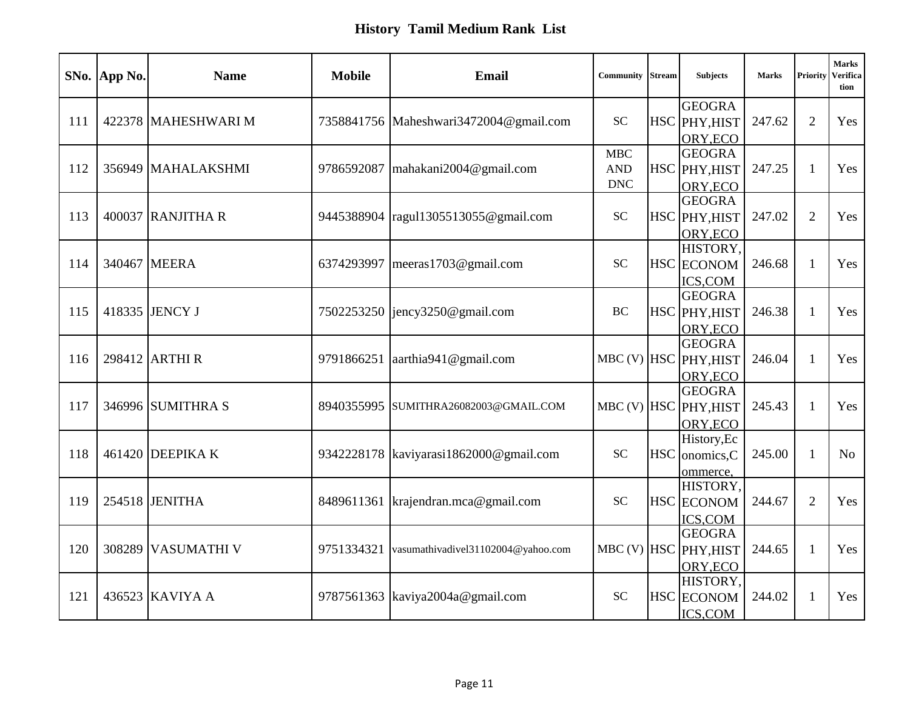|     | SNo. App No. | <b>Name</b>         | <b>Mobile</b> | <b>Email</b>                           | Community  | <b>Stream</b> | <b>Subjects</b>           | <b>Marks</b> | Priority       | <b>Marks</b><br>Verifica<br>tion |
|-----|--------------|---------------------|---------------|----------------------------------------|------------|---------------|---------------------------|--------------|----------------|----------------------------------|
|     |              |                     |               |                                        |            |               | <b>GEOGRA</b>             |              |                |                                  |
| 111 |              | 422378 MAHESHWARI M |               | 7358841756 Maheshwari3472004@gmail.com | <b>SC</b>  |               | HSC PHY, HIST             | 247.62       | 2              | Yes                              |
|     |              |                     |               |                                        |            |               | ORY, ECO                  |              |                |                                  |
|     |              |                     |               |                                        | MBC<br>AND |               | <b>GEOGRA</b>             |              |                |                                  |
| 112 |              | 356949 MAHALAKSHMI  | 9786592087    | mahakani2004@gmail.com                 | <b>DNC</b> |               | HSC PHY, HIST             | 247.25       | 1              | Yes                              |
|     |              |                     |               |                                        |            |               | ORY, ECO<br><b>GEOGRA</b> |              |                |                                  |
| 113 |              | 400037 RANJITHA R   | 9445388904    | ragul1305513055@gmail.com              | <b>SC</b>  |               | HSC PHY, HIST             | 247.02       | $\overline{2}$ | Yes                              |
|     |              |                     |               |                                        |            |               | ORY, ECO                  |              |                |                                  |
|     |              |                     |               |                                        |            |               | HISTORY,                  |              |                |                                  |
| 114 |              | 340467 MEERA        | 6374293997    | meeras 1703@gmail.com                  | <b>SC</b>  |               | HSC ECONOM                | 246.68       | 1              | Yes                              |
|     |              |                     |               |                                        |            |               | ICS,COM                   |              |                |                                  |
|     |              |                     |               |                                        |            |               | <b>GEOGRA</b>             |              |                |                                  |
| 115 |              | 418335 JENCY J      |               | 7502253250 [jency3250@gmail.com        | <b>BC</b>  |               | HSC PHY, HIST             | 246.38       | 1              | Yes                              |
|     |              |                     |               |                                        |            |               | ORY, ECO                  |              |                |                                  |
|     |              |                     |               |                                        |            |               | <b>GEOGRA</b>             |              |                |                                  |
| 116 |              | 298412 ARTHI R      | 9791866251    | aarthia941@gmail.com                   |            |               | MBC (V) HSC PHY, HIST     | 246.04       | $\mathbf{1}$   | Yes                              |
|     |              |                     |               |                                        |            |               | ORY, ECO                  |              |                |                                  |
|     |              |                     |               |                                        |            |               | <b>GEOGRA</b>             |              |                |                                  |
| 117 |              | 346996 SUMITHRA S   | 8940355995    | SUMITHRA26082003@GMAIL.COM             |            |               | MBC (V) HSC PHY, HIST     | 245.43       | 1              | Yes                              |
|     |              |                     |               |                                        |            |               | ORY, ECO                  |              |                |                                  |
|     |              |                     |               |                                        |            |               | History, Ec               |              |                |                                  |
| 118 |              | 461420 DEEPIKA K    | 9342228178    | kaviyarasi1862000@gmail.com            | <b>SC</b>  |               | HSC onomics, C            | 245.00       | 1              | N <sub>o</sub>                   |
|     |              |                     |               |                                        |            |               | ommerce,                  |              |                |                                  |
|     |              |                     |               |                                        |            |               | HISTORY,                  |              |                |                                  |
| 119 |              | 254518 JENITHA      | 8489611361    | krajendran.mca@gmail.com               | <b>SC</b>  |               | <b>HSC</b> ECONOM         | 244.67       | 2              | Yes                              |
|     |              |                     |               |                                        |            |               | ICS,COM                   |              |                |                                  |
|     |              |                     |               |                                        |            |               | <b>GEOGRA</b>             |              |                |                                  |
| 120 | 308289       | <b>VASUMATHI V</b>  | 9751334321    | vasumathivadivel31102004@yahoo.com     |            |               | MBC (V) HSC PHY, HIST     | 244.65       | 1              | Yes                              |
|     |              |                     |               |                                        |            |               | ORY, ECO                  |              |                |                                  |
|     |              |                     |               |                                        |            |               | HISTORY,                  |              |                |                                  |
| 121 |              | 436523 KAVIYA A     | 9787561363    | kaviya2004a@gmail.com                  | <b>SC</b>  |               | HSC ECONOM                | 244.02       | 1              | Yes                              |
|     |              |                     |               |                                        |            |               | ICS,COM                   |              |                |                                  |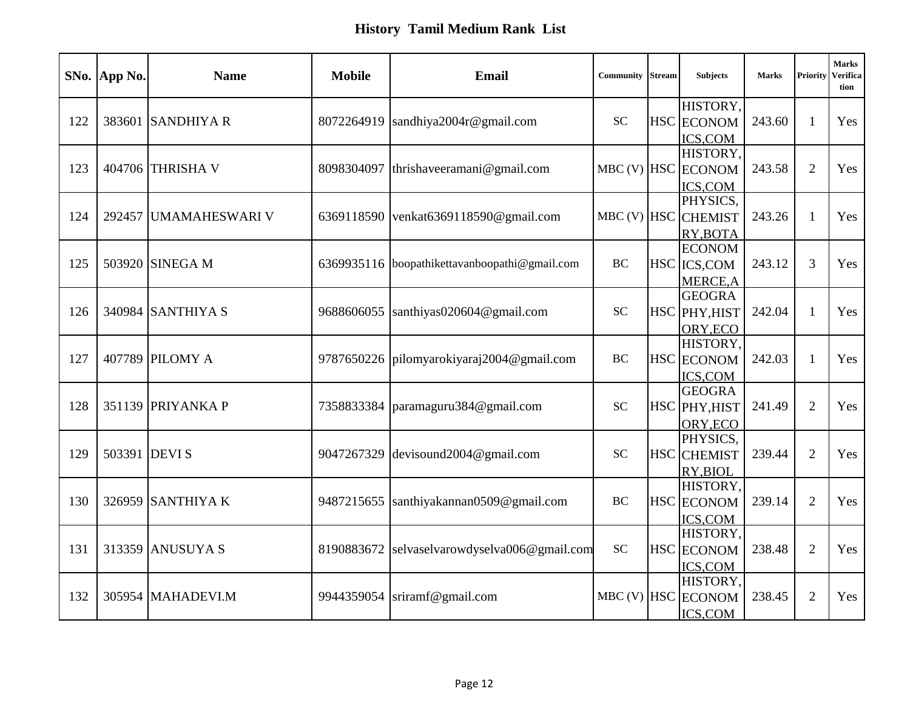|     | SNo. App No.  | <b>Name</b>           | <b>Mobile</b> | <b>Email</b>                       | <b>Community</b> Stream | <b>Subjects</b>               | <b>Marks</b> | Priority       | <b>Marks</b><br>Verifica<br>tion |
|-----|---------------|-----------------------|---------------|------------------------------------|-------------------------|-------------------------------|--------------|----------------|----------------------------------|
| 122 |               | 383601 SANDHIYA R     | 8072264919    | sandhiya2004r@gmail.com            | <b>SC</b>               | HISTORY,<br><b>HSC</b> ECONOM | 243.60       | $\mathbf{1}$   | Yes                              |
|     |               |                       |               |                                    |                         | ICS, COM                      |              |                |                                  |
|     |               |                       |               |                                    |                         | HISTORY.                      |              |                |                                  |
| 123 |               | 404706 THRISHA V      | 8098304097    | thrishaveeramani@gmail.com         |                         | MBC (V) HSC ECONOM            | 243.58       | $\overline{2}$ | Yes                              |
|     |               |                       |               |                                    |                         | <b>ICS,COM</b>                |              |                |                                  |
|     |               |                       |               |                                    |                         | PHYSICS,                      |              |                |                                  |
| 124 |               | 292457 UMAMAHESWARI V | 6369118590    | venkat6369118590@gmail.com         | $MBC$ (V) $HSC$         | <b>CHEMIST</b>                | 243.26       | 1              | Yes                              |
|     |               |                       |               |                                    |                         | RY, BOTA                      |              |                |                                  |
|     |               |                       |               |                                    |                         | <b>ECONOM</b>                 |              |                |                                  |
| 125 |               | 503920 SINEGA M       | 6369935116    | boopathikettavanboopathi@gmail.com | <b>BC</b>               | HSC ICS, COM                  | 243.12       | 3              | Yes                              |
|     |               |                       |               |                                    |                         | MERCE, A                      |              |                |                                  |
|     |               |                       |               |                                    |                         | <b>GEOGRA</b>                 |              |                |                                  |
| 126 |               | 340984 SANTHIYA S     | 9688606055    | santhiyas020604@gmail.com          | <b>SC</b>               | HSC PHY, HIST                 | 242.04       | $\mathbf{1}$   | Yes                              |
|     |               |                       |               |                                    |                         | ORY, ECO<br>HISTORY,          |              |                |                                  |
| 127 |               | 407789 PILOMY A       | 9787650226    | $pi$ lomyarokiyaraj2004@gmail.com  | <b>BC</b>               |                               | 242.03       | 1              | Yes                              |
|     |               |                       |               |                                    |                         | <b>HSC</b> ECONOM             |              |                |                                  |
|     |               |                       |               |                                    |                         | ICS,COM<br><b>GEOGRA</b>      |              |                |                                  |
| 128 |               | 351139 PRIYANKA P     | 7358833384    | paramaguru384@gmail.com            | <b>SC</b>               | HSC PHY, HIST                 | 241.49       | $\overline{2}$ | Yes                              |
|     |               |                       |               |                                    |                         | ORY, ECO                      |              |                |                                  |
|     |               |                       |               |                                    |                         | PHYSICS.                      |              |                |                                  |
| 129 | 503391 DEVI S |                       | 9047267329    | devisound2004@gmail.com            | <b>SC</b>               | <b>HSC</b> CHEMIST            | 239.44       | $\overline{2}$ | Yes                              |
|     |               |                       |               |                                    |                         | RY, BIOL                      |              |                |                                  |
|     |               |                       |               |                                    |                         | HISTORY,                      |              |                |                                  |
| 130 |               | 326959 SANTHIYA K     | 9487215655    | santhiyakannan0509@gmail.com       | $\rm BC$                | <b>HSC</b> ECONOM             | 239.14       | $\overline{2}$ | Yes                              |
|     |               |                       |               |                                    |                         | ICS,COM                       |              |                |                                  |
|     |               |                       |               |                                    |                         | HISTORY.                      |              |                |                                  |
| 131 |               | 313359 ANUSUYA S      | 8190883672    | selvaselvarowdyselva006@gmail.com  | <b>SC</b>               | <b>HSC</b> ECONOM             | 238.48       | $\overline{2}$ | Yes                              |
|     |               |                       |               |                                    |                         | ICS,COM                       |              |                |                                  |
|     |               |                       |               |                                    |                         | HISTORY,                      |              |                |                                  |
| 132 |               | 305954 MAHADEVI.M     | 9944359054    | sriramf@gmail.com                  | $MBC$ (V) $HSC$         | <b>ECONOM</b>                 | 238.45       | $\overline{2}$ | Yes                              |
|     |               |                       |               |                                    |                         | ICS,COM                       |              |                |                                  |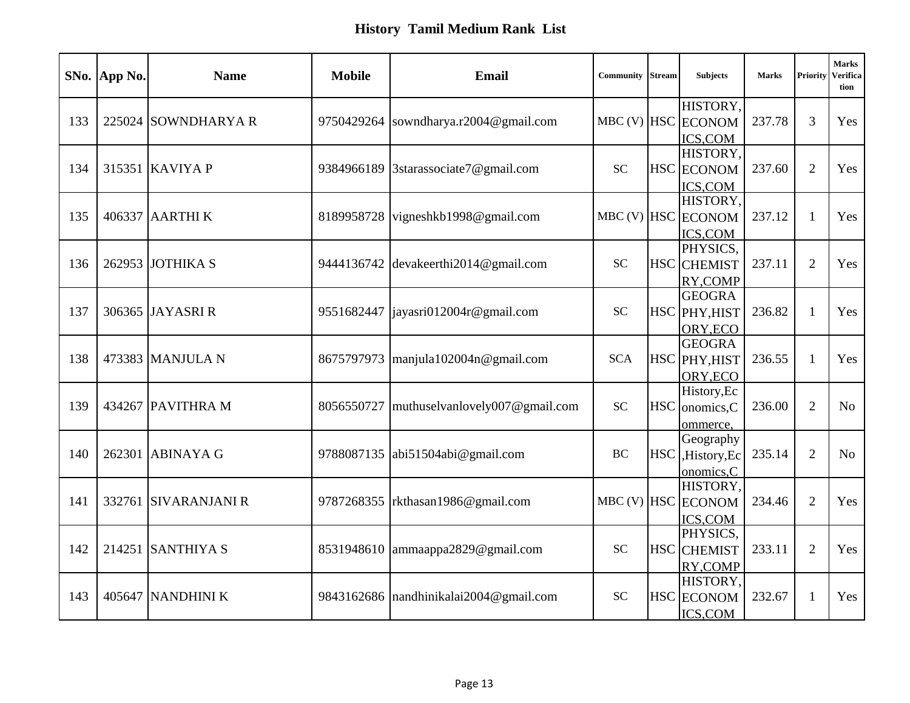|     | SNo. App No. | <b>Name</b>          | <b>Mobile</b> | <b>Email</b>                      | Community  | <b>Stream</b> | <b>Subjects</b>                            | <b>Marks</b> | Priority       | <b>Marks</b><br>Verifica<br>tion |
|-----|--------------|----------------------|---------------|-----------------------------------|------------|---------------|--------------------------------------------|--------------|----------------|----------------------------------|
| 133 |              | 225024 SOWNDHARYAR   | 9750429264    | sowndharya.r2004@gmail.com        |            |               | HISTORY,<br>MBC (V) HSC ECONOM<br>ICS, COM | 237.78       | 3              | Yes                              |
| 134 |              | 315351 KAVIYA P      | 9384966189    | 3starassociate7@gmail.com         | <b>SC</b>  |               | HISTORY,<br><b>HSC</b> ECONOM<br>ICS,COM   | 237.60       | $\overline{2}$ | Yes                              |
| 135 |              | 406337 AARTHI K      | 8189958728    | vigneshkb1998@gmail.com           |            |               | HISTORY,<br>MBC (V) HSC ECONOM<br>ICS,COM  | 237.12       | 1              | Yes                              |
| 136 |              | 262953 JOTHIKA S     | 9444136742    | devakeerthi2014@gmail.com         | <b>SC</b>  |               | PHYSICS.<br>HSC CHEMIST<br>RY, COMP        | 237.11       | 2              | Yes                              |
| 137 |              | 306365 JAYASRI R     | 9551682447    | jayasri012004r@gmail.com          | <b>SC</b>  |               | <b>GEOGRA</b><br>HSC PHY, HIST<br>ORY, ECO | 236.82       | $\mathbf{1}$   | Yes                              |
| 138 |              | 473383 MANJULA N     | 8675797973    | $\text{manjula102004n@gmail.com}$ | <b>SCA</b> | <b>HSC</b>    | <b>GEOGRA</b><br>PHY, HIST<br>ORY, ECO     | 236.55       | 1              | Yes                              |
| 139 |              | 434267 PAVITHRA M    | 8056550727    | muthuselvanlovely007@gmail.com    | <b>SC</b>  | <b>HSC</b>    | History, Ec<br>onomics,C<br>ommerce,       | 236.00       | $\overline{2}$ | No                               |
| 140 | 262301       | <b>ABINAYA G</b>     | 9788087135    | abi51504abi@gmail.com             | <b>BC</b>  | <b>HSC</b>    | Geography<br>,History,Ec<br>onomics,C      | 235.14       | 2              | N <sub>o</sub>                   |
| 141 |              | 332761 SIVARANJANI R | 9787268355    | rkthasan1986@gmail.com            |            |               | HISTORY,<br>MBC (V) HSC ECONOM<br>ICS, COM | 234.46       | 2              | Yes                              |
| 142 |              | 214251 SANTHIYA S    | 8531948610    | ammaappa2829@gmail.com            | <b>SC</b>  |               | PHYSICS,<br><b>HSC</b> CHEMIST<br>RY, COMP | 233.11       | $\overline{2}$ | Yes                              |
| 143 |              | 405647 NANDHINI K    | 9843162686    | nandhinikalai2004@gmail.com       | <b>SC</b>  |               | HISTORY,<br>HSC ECONOM<br>ICS,COM          | 232.67       | 1              | Yes                              |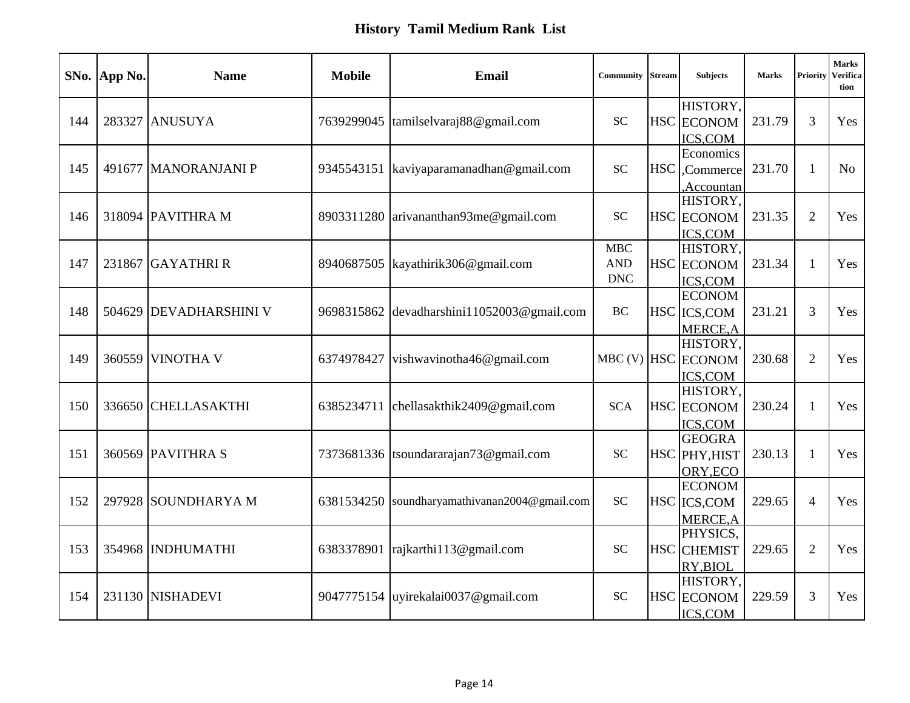|     | SNo. App No. | <b>Name</b>            | <b>Mobile</b> | <b>Email</b>                       | Community                              | <b>Stream</b> | <b>Subjects</b>                                  | <b>Marks</b> | Priority       | <b>Marks</b><br><b>Verifica</b><br>tion |
|-----|--------------|------------------------|---------------|------------------------------------|----------------------------------------|---------------|--------------------------------------------------|--------------|----------------|-----------------------------------------|
| 144 | 283327       | <b>ANUSUYA</b>         | 7639299045    | tamilselvaraj88@gmail.com          | <b>SC</b>                              |               | HISTORY,<br><b>HSC</b> ECONOM<br>ICS,COM         | 231.79       | $\overline{3}$ | Yes                                     |
| 145 |              | 491677 MANORANJANI P   | 9345543151    | kaviyaparamanadhan@gmail.com       | <b>SC</b>                              | <b>HSC</b>    | Economics<br>Commerce<br>Accountan               | 231.70       | $\mathbf{1}$   | N <sub>o</sub>                          |
| 146 |              | 318094 PAVITHRA M      | 8903311280    | arivananthan93me@gmail.com         | <b>SC</b>                              |               | HISTORY,<br><b>HSC</b> ECONOM<br>ICS,COM         | 231.35       | $\overline{2}$ | Yes                                     |
| 147 |              | 231867 GAYATHRIR       | 8940687505    | kayathirik306@gmail.com            | <b>MBC</b><br><b>AND</b><br><b>DNC</b> |               | HISTORY,<br><b>HSC</b> ECONOM<br>ICS,COM         | 231.34       | 1              | Yes                                     |
| 148 |              | 504629 DEVADHARSHINI V | 9698315862    | devadharshini11052003@gmail.com    | <b>BC</b>                              |               | <b>ECONOM</b><br>HSC ICS, COM<br>MERCE, A        | 231.21       | 3              | Yes                                     |
| 149 | 360559       | <b>VINOTHA V</b>       | 6374978427    | vishwavinotha46@gmail.com          |                                        |               | HISTORY,<br>MBC (V) HSC ECONOM<br><b>ICS,COM</b> | 230.68       | $\overline{2}$ | Yes                                     |
| 150 |              | 336650 CHELLASAKTHI    | 6385234711    | chellasakthik2409@gmail.com        | <b>SCA</b>                             |               | HISTORY,<br><b>HSC</b> ECONOM<br>ICS,COM         | 230.24       | 1              | Yes                                     |
| 151 |              | 360569 PAVITHRA S      | 7373681336    | tsoundararajan73@gmail.com         | <b>SC</b>                              |               | <b>GEOGRA</b><br>HSC PHY, HIST<br>ORY, ECO       | 230.13       | 1              | Yes                                     |
| 152 |              | 297928 SOUNDHARYA M    | 6381534250    | soundharyamathivanan2004@gmail.com | <b>SC</b>                              |               | <b>ECONOM</b><br>HSC ICS, COM<br>MERCE, A        | 229.65       | 4              | Yes                                     |
| 153 | 354968       | <b>INDHUMATHI</b>      | 6383378901    | rajkarthi113@gmail.com             | <b>SC</b>                              |               | PHYSICS,<br><b>HSC</b> CHEMIST<br>RY, BIOL       | 229.65       | $\overline{2}$ | Yes                                     |
| 154 |              | 231130 NISHADEVI       | 9047775154    | uyirekalai0037@gmail.com           | <b>SC</b>                              |               | HISTORY,<br><b>HSC</b> ECONOM<br>ICS,COM         | 229.59       | 3              | Yes                                     |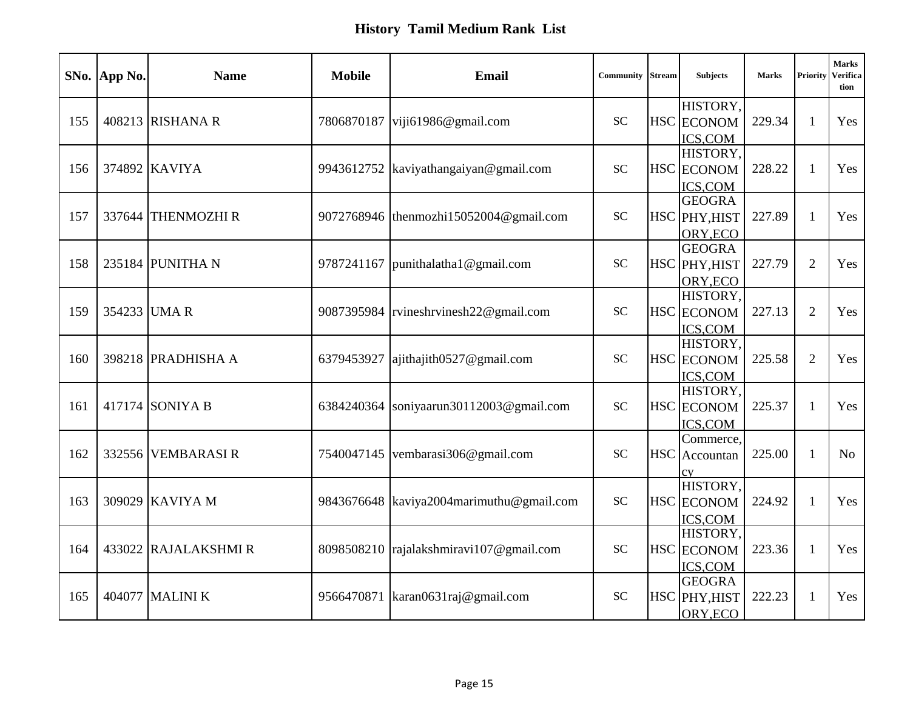|     | SNo. App No. | <b>Name</b>        | <b>Mobile</b> | <b>Email</b>                              | Community | <b>Stream</b> | <b>Subjects</b>                            | <b>Marks</b> | Priority       | <b>Marks</b><br>Verifica<br>tion |
|-----|--------------|--------------------|---------------|-------------------------------------------|-----------|---------------|--------------------------------------------|--------------|----------------|----------------------------------|
| 155 |              | 408213 RISHANA R   | 7806870187    | viji61986@gmail.com                       | <b>SC</b> |               | HISTORY,<br>HSC ECONOM<br>ICS,COM          | 229.34       | $\mathbf{1}$   | Yes                              |
| 156 |              | 374892 KAVIYA      | 9943612752    | kaviyathangaiyan@gmail.com                | <b>SC</b> |               | HISTORY,<br>HSC ECONOM<br>ICS,COM          | 228.22       | 1              | Yes                              |
| 157 |              | 337644 THENMOZHI R |               | 9072768946 thenmozhi15052004@gmail.com    | <b>SC</b> |               | <b>GEOGRA</b><br>HSC PHY, HIST<br>ORY, ECO | 227.89       | 1              | Yes                              |
| 158 |              | 235184 PUNITHA N   | 9787241167    | punithalatha1@gmail.com                   | <b>SC</b> |               | <b>GEOGRA</b><br>HSC PHY, HIST<br>ORY, ECO | 227.79       | $\overline{2}$ | Yes                              |
| 159 |              | 354233 UMA R       | 9087395984    | rvineshrvinesh22@gmail.com                | <b>SC</b> |               | HISTORY,<br>HSC ECONOM<br>ICS,COM          | 227.13       | $\overline{2}$ | Yes                              |
| 160 |              | 398218 PRADHISHA A | 6379453927    | ajithajith0527@gmail.com                  | <b>SC</b> |               | HISTORY,<br><b>HSC</b> ECONOM<br>ICS,COM   | 225.58       | $\overline{2}$ | Yes                              |
| 161 |              | 417174 SONIYA B    | 6384240364    | soniyaarun30112003@gmail.com              | <b>SC</b> |               | HISTORY,<br>HSC ECONOM<br><b>ICS,COM</b>   | 225.37       | 1              | Yes                              |
| 162 |              | 332556 VEMBARASIR  | 7540047145    | vembarasi306@gmail.com                    | <b>SC</b> |               | Commerce,<br>HSC Accountan<br>cy           | 225.00       | 1              | N <sub>o</sub>                   |
| 163 |              | 309029 KAVIYA M    |               | 9843676648 kaviya2004 marimuthu@gmail.com | <b>SC</b> |               | HISTORY,<br><b>HSC</b> ECONOM<br>ICS,COM   | 224.92       | 1              | Yes                              |
| 164 | 433022       | RAJALAKSHMI R      | 8098508210    | rajalakshmiravi107@gmail.com              | <b>SC</b> |               | HISTORY,<br><b>HSC</b> ECONOM<br>ICS,COM   | 223.36       | 1              | Yes                              |
| 165 |              | 404077 MALINI K    | 9566470871    | karan0631raj@gmail.com                    | <b>SC</b> |               | <b>GEOGRA</b><br>HSC PHY, HIST<br>ORY, ECO | 222.23       |                | Yes                              |